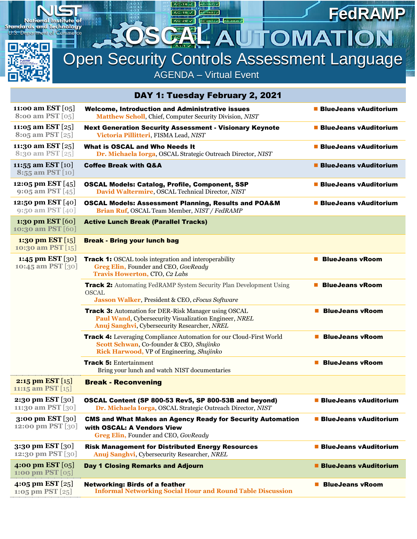**hnology** Commerce  $ent$  of

## **UTOMATION D**S  $\blacktriangle$ Open Security Controls Assessment Language

**FedRAMP**

AGENDA – Virtual Event

| DAY 1: Tuesday February 2, 2021                      |                                                                                                                                                                      |                              |  |
|------------------------------------------------------|----------------------------------------------------------------------------------------------------------------------------------------------------------------------|------------------------------|--|
| 11:00 am EST $[0,5]$<br>8:00 am PST [05]             | <b>Welcome, Introduction and Administrative issues</b><br>Matthew Scholl, Chief, Computer Security Division, NIST                                                    | <b>BlueJeans vAuditorium</b> |  |
| 11:05 am EST $[25]$<br>$8:05$ am PST [25]            | <b>Next Generation Security Assessment - Visionary Keynote</b><br>Victoria Pillitteri, FISMA Lead, NIST                                                              | ■ BlueJeans vAuditorium      |  |
| 11:30 am EST [25]<br>8:30 am PST [25]                | <b>What is OSCAL and Who Needs It</b><br>Dr. Michaela Iorga, OSCAL Strategic Outreach Director, NIST                                                                 | ■ BlueJeans vAuditorium      |  |
| 11:55 am EST [10]<br>8:55 am PST [10]                | <b>Coffee Break with Q&amp;A</b>                                                                                                                                     | <b>BlueJeans vAuditorium</b> |  |
| 12:05 pm EST $[45]$<br>9:05 am PST $[45]$            | <b>OSCAL Models: Catalog, Profile, Component, SSP</b><br>David Waltermire, OSCAL Technical Director, NIST                                                            | ■ BlueJeans vAuditorium      |  |
| 12:50 pm EST $[40]$<br>9:50 am PST [40]              | <b>OSCAL Models: Assessment Planning, Results and POA&amp;M</b><br>Brian Ruf, OSCAL Team Member, NIST / FedRAMP                                                      | ■ BlueJeans vAuditorium      |  |
| 1:30 pm EST [60]<br>10:30 am PST [60]                | <b>Active Lunch Break (Parallel Tracks)</b>                                                                                                                          |                              |  |
| 1:30 pm EST $[15]$<br>10:30 am PST [15]              | <b>Break - Bring your lunch bag</b>                                                                                                                                  |                              |  |
| 1:45 pm EST $[30]$<br>10:45 am PST [30]              | <b>Track 1:</b> OSCAL tools integration and interoperability<br>Greg Elin, Founder and CEO, GovReady<br>Travis Howerton, CTO, C2 Labs                                | <b>BlueJeans vRoom</b>       |  |
|                                                      | Track 2: Automating FedRAMP System Security Plan Development Using<br><b>OSCAL</b><br><b>Jasson Walker, President &amp; CEO, cFocus Software</b>                     | <b>BlueJeans vRoom</b>       |  |
|                                                      | <b>Track 3:</b> Automation for DER-Risk Manager using OSCAL<br>Paul Wand, Cybersecurity Visualization Engineer, NREL<br>Anuj Sanghvi, Cybersecurity Researcher, NREL | <b>BlueJeans vRoom</b>       |  |
|                                                      | <b>Track 4:</b> Leveraging Compliance Automation for our Cloud-First World<br>Scott Schwan, Co-founder & CEO, Shujinko<br>Rick Harwood, VP of Engineering, Shujinko  | <b>BlueJeans vRoom</b>       |  |
|                                                      | <b>Track 5: Entertainment</b><br>Bring your lunch and watch NIST documentaries                                                                                       | <b>BlueJeans vRoom</b>       |  |
| 2:15 pm EST $[15]$<br>11:15 am PST [15]              | <b>Break - Reconvening</b>                                                                                                                                           |                              |  |
| 2:30 pm EST [30]<br>11:30 am PST [30]                | OSCAL Content (SP 800-53 Rev5, SP 800-53B and beyond)<br>Dr. Michaela Iorga, OSCAL Strategic Outreach Director, NIST                                                 | <b>BlueJeans vAuditorium</b> |  |
| $3:00 \text{ pm } EST[30]$<br>12:00 pm PST [30]      | <b>CMS and What Makes an Agency Ready for Security Automation</b><br>with OSCAL: A Vendors View<br>Greg Elin, Founder and CEO, GovReady                              | <b>BlueJeans vAuditorium</b> |  |
| 3:30 pm EST [30]<br>12:30 pm PST [30]                | <b>Risk Management for Distributed Energy Resources</b><br>Anuj Sanghvi, Cybersecurity Researcher, NREL                                                              | <b>BlueJeans vAuditorium</b> |  |
| 4:00 pm EST $[0,5]$<br>1:00 pm $\overline{PST}$ [05] | <b>Day 1 Closing Remarks and Adjourn</b>                                                                                                                             | <b>BlueJeans vAuditorium</b> |  |
| 4:05 pm EST $[25]$<br>1:05 pm PST $[25]$             | <b>Networking: Birds of a feather</b><br><b>Informal Networking Social Hour and Round Table Discussion</b>                                                           | ■ BlueJeans vRoom            |  |